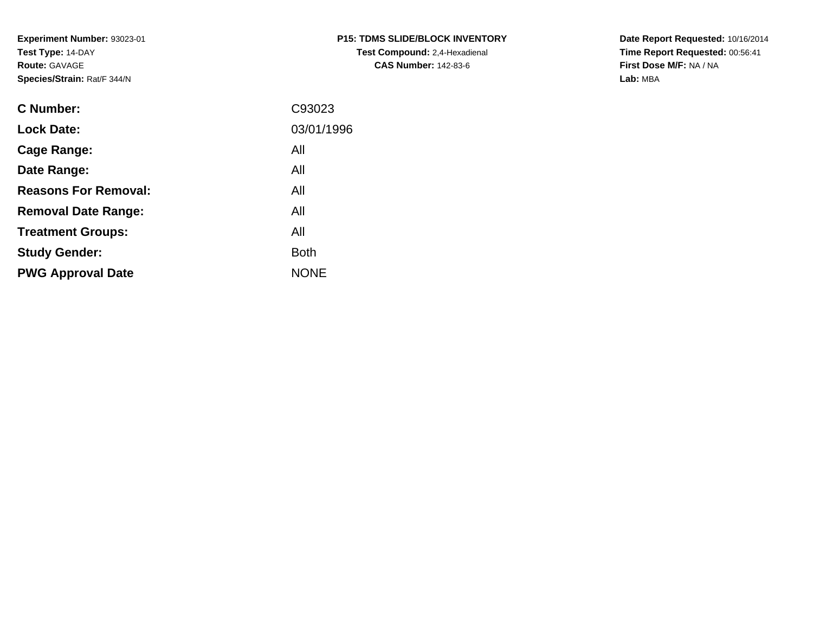**Experiment Number:** 93023-01**Test Type:** 14-DAY**Route:** GAVAGE**Species/Strain:** Rat/F 344/N

| P15: TDMS SLIDE/BLOCK INVENTORY      |
|--------------------------------------|
| <b>Test Compound: 2,4-Hexadienal</b> |
| <b>CAS Number: 142-83-6</b>          |

**Date Report Requested:** 10/16/2014 **Time Report Requested:** 00:56:41**First Dose M/F:** NA / NA**Lab:** MBA

| C Number:                   | C93023      |
|-----------------------------|-------------|
| <b>Lock Date:</b>           | 03/01/1996  |
| Cage Range:                 | All         |
| Date Range:                 | All         |
| <b>Reasons For Removal:</b> | All         |
| <b>Removal Date Range:</b>  | All         |
| <b>Treatment Groups:</b>    | All         |
| <b>Study Gender:</b>        | <b>Both</b> |
| <b>PWG Approval Date</b>    | <b>NONE</b> |
|                             |             |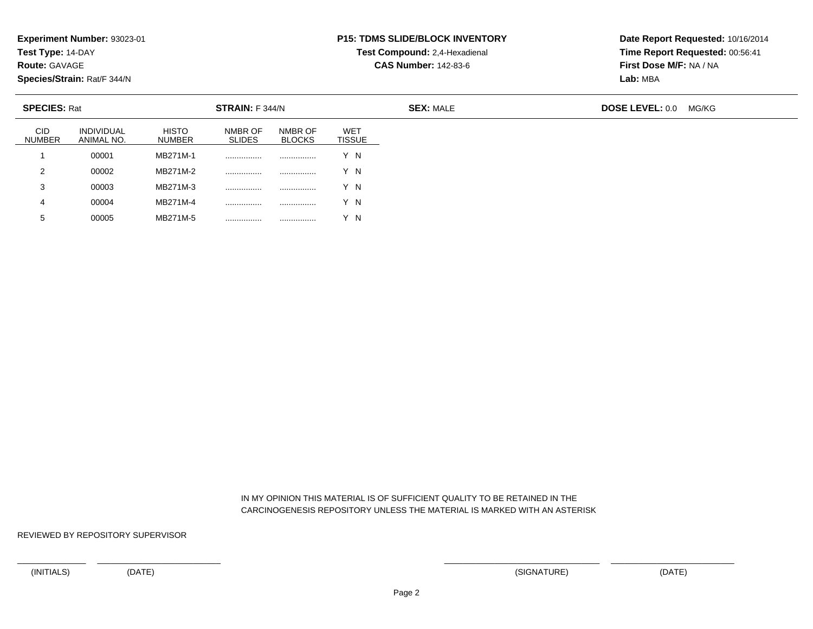**Test Type:** 14-DAY

**Route:** GAVAGE

**Species/Strain:** Rat/F 344/N

#### **P15: TDMS SLIDE/BLOCK INVENTORYTest Compound:** 2,4-Hexadienal

**CAS Number:** 142-83-6

**Date Report Requested:** 10/16/2014**Time Report Requested:** 00:56:41**First Dose M/F:** NA / NA**Lab:** MBA

| <b>SPECIES: Rat</b>         |                          |                               | STRAIN: F 344/N          |                          |                      | <b>SEX: MALE</b> | <b>DOSE LEVEL: 0.0</b><br>MG/KG |  |  |
|-----------------------------|--------------------------|-------------------------------|--------------------------|--------------------------|----------------------|------------------|---------------------------------|--|--|
| <b>CID</b><br><b>NUMBER</b> | INDIVIDUAL<br>ANIMAL NO. | <b>HISTO</b><br><b>NUMBER</b> | NMBR OF<br><b>SLIDES</b> | NMBR OF<br><b>BLOCKS</b> | WET<br><b>TISSUE</b> |                  |                                 |  |  |
|                             | 00001                    | MB271M-1                      |                          |                          | Y N                  |                  |                                 |  |  |
| 2                           | 00002                    | MB271M-2                      |                          | .                        | Y N                  |                  |                                 |  |  |
| 3                           | 00003                    | MB271M-3                      |                          |                          | Y N                  |                  |                                 |  |  |
| 4                           | 00004                    | MB271M-4                      |                          |                          | Y N                  |                  |                                 |  |  |
| $5^{\circ}$                 | 00005                    | MB271M-5                      |                          |                          | ΄N                   |                  |                                 |  |  |

 IN MY OPINION THIS MATERIAL IS OF SUFFICIENT QUALITY TO BE RETAINED IN THECARCINOGENESIS REPOSITORY UNLESS THE MATERIAL IS MARKED WITH AN ASTERISK

REVIEWED BY REPOSITORY SUPERVISOR

<sup>00005</sup> MB271M-5 ................ ................ Y N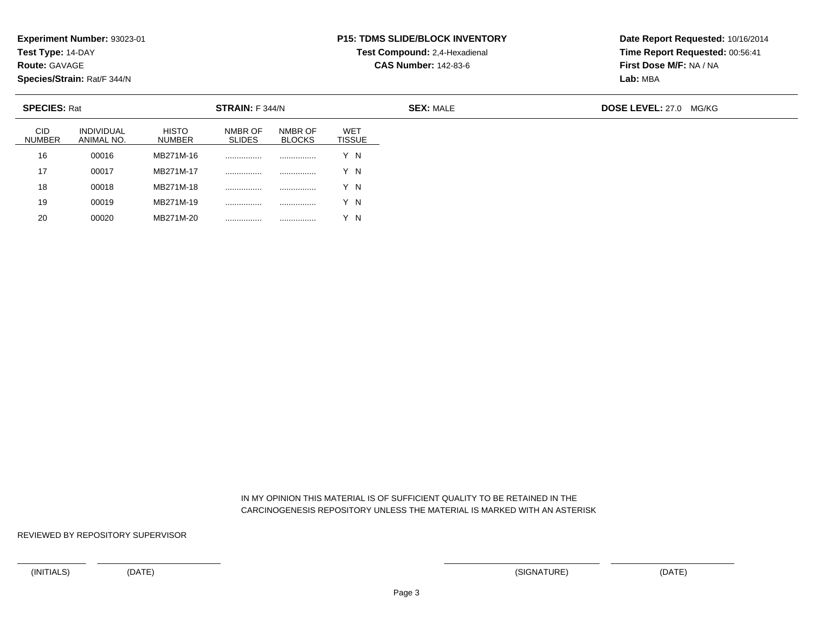**Test Type:** 14-DAY

**Route:** GAVAGE

**Species/Strain:** Rat/F 344/N

<sup>00020</sup> MB271M-20 ................ ................ Y N

#### **P15: TDMS SLIDE/BLOCK INVENTORYTest Compound:** 2,4-Hexadienal

**CAS Number:** 142-83-6

**Date Report Requested:** 10/16/2014**Time Report Requested:** 00:56:41**First Dose M/F:** NA / NA**Lab:** MBA

| <b>SPECIES: Rat</b>         |                                 |                        | STRAIN: F 344/N          |                          |                             | <b>SEX: MALE</b> | <b>DOSE LEVEL: 27.0</b><br>MG/KG |
|-----------------------------|---------------------------------|------------------------|--------------------------|--------------------------|-----------------------------|------------------|----------------------------------|
| <b>CID</b><br><b>NUMBER</b> | <b>INDIVIDUAL</b><br>ANIMAL NO. | <b>HISTO</b><br>NUMBER | NMBR OF<br><b>SLIDES</b> | NMBR OF<br><b>BLOCKS</b> | <b>WET</b><br><b>TISSUE</b> |                  |                                  |
| 16                          | 00016                           | MB271M-16              |                          |                          | Y N                         |                  |                                  |
| 17                          | 00017                           | MB271M-17              |                          |                          | Y N                         |                  |                                  |
| 18                          | 00018                           | MB271M-18              | .                        |                          | Y N                         |                  |                                  |
| 19                          | 00019                           | MB271M-19              |                          |                          | Y N                         |                  |                                  |
| 20                          | 00020                           | MB271M-20              |                          |                          | Y N                         |                  |                                  |

 IN MY OPINION THIS MATERIAL IS OF SUFFICIENT QUALITY TO BE RETAINED IN THECARCINOGENESIS REPOSITORY UNLESS THE MATERIAL IS MARKED WITH AN ASTERISK

REVIEWED BY REPOSITORY SUPERVISOR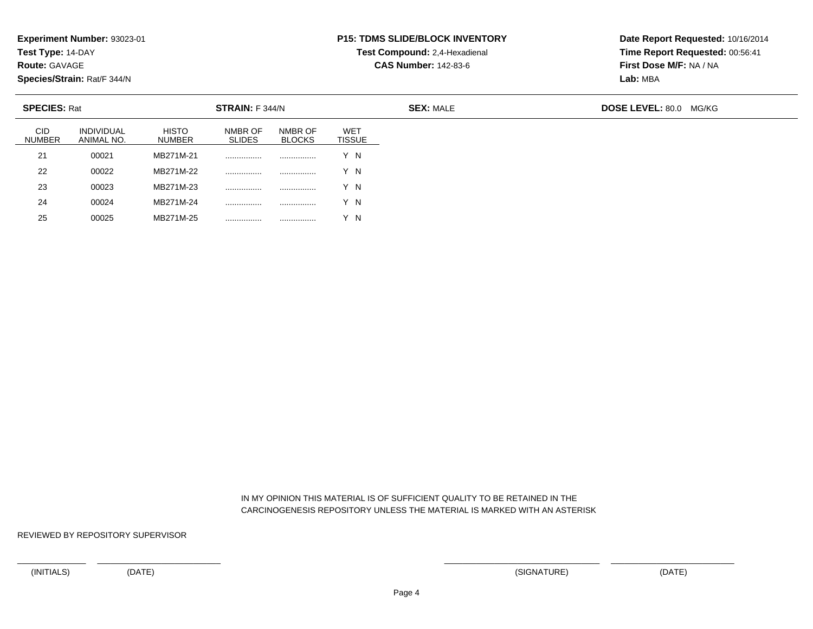**Test Type:** 14-DAY

**Route:** GAVAGE

**Species/Strain:** Rat/F 344/N

<sup>00025</sup> MB271M-25 ................ ................ Y N

#### **P15: TDMS SLIDE/BLOCK INVENTORYTest Compound:** 2,4-Hexadienal

**CAS Number:** 142-83-6

**Date Report Requested:** 10/16/2014**Time Report Requested:** 00:56:41**First Dose M/F:** NA / NA**Lab:** MBA

| <b>SPECIES: Rat</b>         |                                 |                               | <b>STRAIN: F 344/N</b>   |                          |               | <b>SEX: MALE</b> | <b>DOSE LEVEL: 80.0 MG/KG</b> |  |  |
|-----------------------------|---------------------------------|-------------------------------|--------------------------|--------------------------|---------------|------------------|-------------------------------|--|--|
| <b>CID</b><br><b>NUMBER</b> | <b>INDIVIDUAL</b><br>ANIMAL NO. | <b>HISTO</b><br><b>NUMBER</b> | NMBR OF<br><b>SLIDES</b> | NMBR OF<br><b>BLOCKS</b> | WET<br>TISSUE |                  |                               |  |  |
| 21                          | 00021                           | MB271M-21                     | .                        | .                        | Y N           |                  |                               |  |  |
| 22                          | 00022                           | MB271M-22                     |                          |                          | Y N           |                  |                               |  |  |
| 23                          | 00023                           | MB271M-23                     |                          |                          | Y N           |                  |                               |  |  |
| 24                          | 00024                           | MB271M-24                     |                          | .                        | Y N           |                  |                               |  |  |
| 25                          | 00025                           | MB271M-25                     | .                        |                          | Y N           |                  |                               |  |  |

 IN MY OPINION THIS MATERIAL IS OF SUFFICIENT QUALITY TO BE RETAINED IN THECARCINOGENESIS REPOSITORY UNLESS THE MATERIAL IS MARKED WITH AN ASTERISK

REVIEWED BY REPOSITORY SUPERVISOR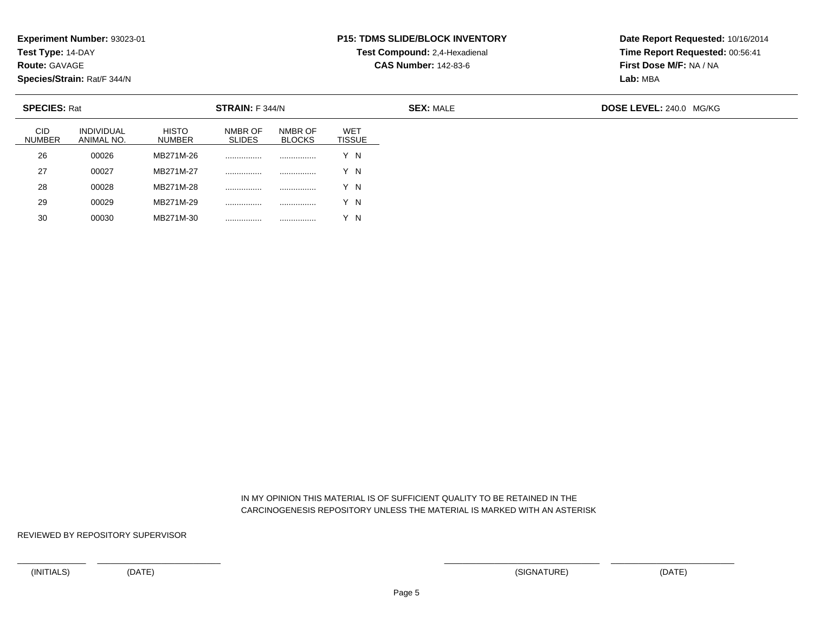**Test Type:** 14-DAY

**Route:** GAVAGE

**Species/Strain:** Rat/F 344/N

<sup>00030</sup> MB271M-30 ................ ................ Y N

#### **P15: TDMS SLIDE/BLOCK INVENTORYTest Compound:** 2,4-Hexadienal

**CAS Number:** 142-83-6

**Date Report Requested:** 10/16/2014**Time Report Requested:** 00:56:41**First Dose M/F:** NA / NA**Lab:** MBA

| <b>SPECIES: Rat</b>         |                          |                               | STRAIN: F 344/N          |                          |                             | <b>SEX: MALE</b> | <b>DOSE LEVEL: 240.0 MG/KG</b> |
|-----------------------------|--------------------------|-------------------------------|--------------------------|--------------------------|-----------------------------|------------------|--------------------------------|
| <b>CID</b><br><b>NUMBER</b> | INDIVIDUAL<br>ANIMAL NO. | <b>HISTO</b><br><b>NUMBER</b> | NMBR OF<br><b>SLIDES</b> | NMBR OF<br><b>BLOCKS</b> | <b>WET</b><br><b>TISSUE</b> |                  |                                |
| 26                          | 00026                    | MB271M-26                     |                          |                          | Y N                         |                  |                                |
| 27                          | 00027                    | MB271M-27                     |                          |                          | Y N                         |                  |                                |
| 28                          | 00028                    | MB271M-28                     |                          |                          | Y N                         |                  |                                |
| 29                          | 00029                    | MB271M-29                     |                          |                          | Y N                         |                  |                                |
| 30                          | 00030                    | MB271M-30                     |                          |                          | Y N                         |                  |                                |

 IN MY OPINION THIS MATERIAL IS OF SUFFICIENT QUALITY TO BE RETAINED IN THECARCINOGENESIS REPOSITORY UNLESS THE MATERIAL IS MARKED WITH AN ASTERISK

REVIEWED BY REPOSITORY SUPERVISOR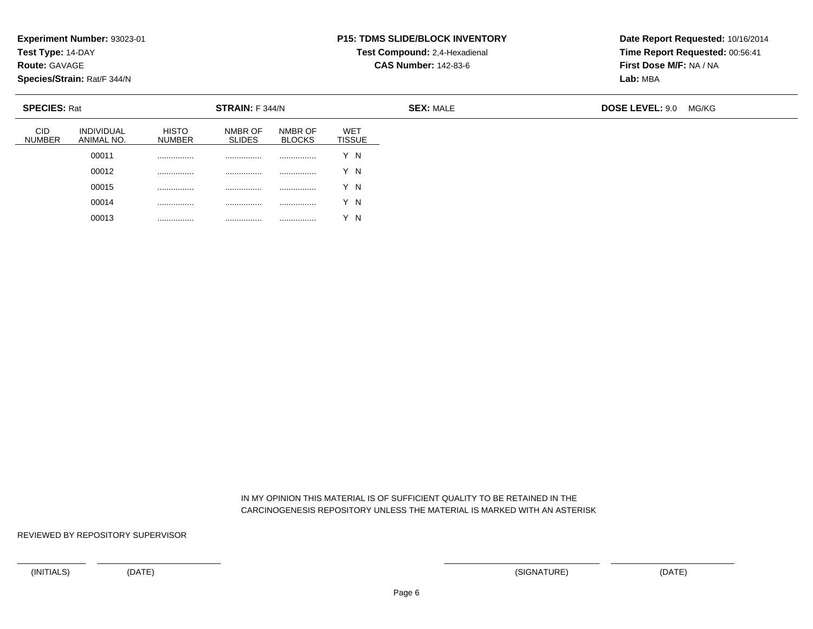**Test Type:** 14-DAY

**Route:** GAVAGE

**Species/Strain:** Rat/F 344/N

# **P15: TDMS SLIDE/BLOCK INVENTORY**

**Test Compound:** 2,4-Hexadienal **CAS Number:** 142-83-6

**Date Report Requested:** 10/16/2014**Time Report Requested:** 00:56:41**First Dose M/F:** NA / NA**Lab:** MBA

| <b>SPECIES: Rat</b>         |                                 |                        | STRAIN: F 344/N          |                          |                             | <b>SEX: MALE</b> | <b>DOSE LEVEL: 9.0</b><br>MG/KG |  |  |
|-----------------------------|---------------------------------|------------------------|--------------------------|--------------------------|-----------------------------|------------------|---------------------------------|--|--|
| <b>CID</b><br><b>NUMBER</b> | <b>INDIVIDUAL</b><br>ANIMAL NO. | <b>HISTO</b><br>NUMBER | NMBR OF<br><b>SLIDES</b> | NMBR OF<br><b>BLOCKS</b> | <b>WET</b><br><b>TISSUE</b> |                  |                                 |  |  |
|                             | 00011                           | .                      | .                        | .                        | v<br>΄Ν                     |                  |                                 |  |  |
|                             | 00012                           |                        | .                        |                          | N                           |                  |                                 |  |  |
|                             | 00015                           |                        | .                        |                          | Y N                         |                  |                                 |  |  |
|                             | 00014                           | .                      | .                        |                          | Y N                         |                  |                                 |  |  |
|                             | 00013                           | .                      | .                        |                          | - N                         |                  |                                 |  |  |

 IN MY OPINION THIS MATERIAL IS OF SUFFICIENT QUALITY TO BE RETAINED IN THECARCINOGENESIS REPOSITORY UNLESS THE MATERIAL IS MARKED WITH AN ASTERISK

REVIEWED BY REPOSITORY SUPERVISOR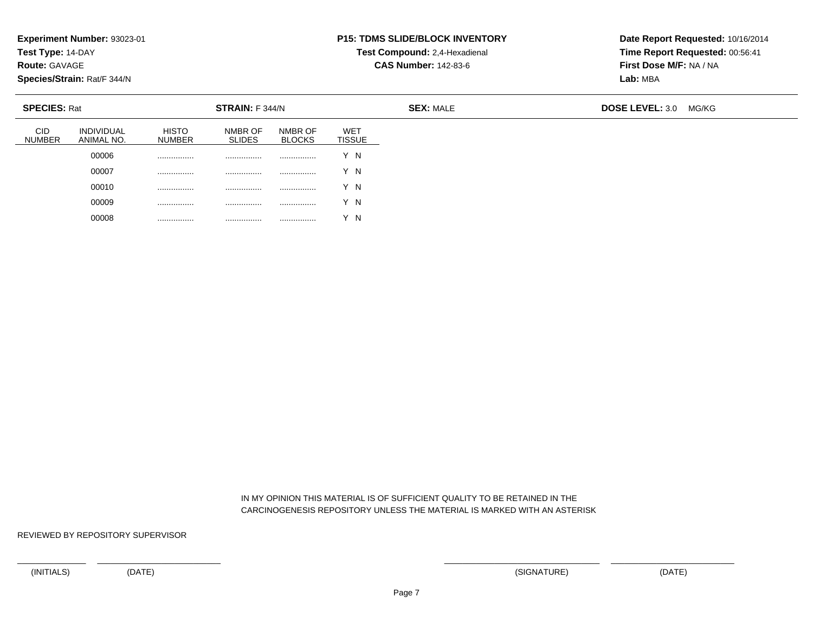**Test Type:** 14-DAY

**Route:** GAVAGE

**Species/Strain:** Rat/F 344/N

# **P15: TDMS SLIDE/BLOCK INVENTORY**

**Test Compound:** 2,4-Hexadienal **CAS Number:** 142-83-6

**Date Report Requested:** 10/16/2014**Time Report Requested:** 00:56:41**First Dose M/F:** NA / NA**Lab:** MBA

| <b>SPECIES: Rat</b>  |                                 |                               | <b>STRAIN:</b> F 344/N   |                          |                             | <b>SEX: MALE</b> | <b>DOSE LEVEL: 3.0</b><br>MG/KG |  |  |
|----------------------|---------------------------------|-------------------------------|--------------------------|--------------------------|-----------------------------|------------------|---------------------------------|--|--|
| CID<br><b>NUMBER</b> | <b>INDIVIDUAL</b><br>ANIMAL NO. | <b>HISTO</b><br><b>NUMBER</b> | NMBR OF<br><b>SLIDES</b> | NMBR OF<br><b>BLOCKS</b> | <b>WET</b><br><b>TISSUE</b> |                  |                                 |  |  |
|                      | 00006                           | .                             |                          | .                        | Y N                         |                  |                                 |  |  |
|                      | 00007                           | .                             |                          |                          | Y N                         |                  |                                 |  |  |
|                      | 00010                           | .                             | .                        | .                        | Y N                         |                  |                                 |  |  |
|                      | 00009                           | .                             | .                        |                          | Y N                         |                  |                                 |  |  |
|                      | 00008                           | .                             |                          | .                        | Y N                         |                  |                                 |  |  |

 IN MY OPINION THIS MATERIAL IS OF SUFFICIENT QUALITY TO BE RETAINED IN THECARCINOGENESIS REPOSITORY UNLESS THE MATERIAL IS MARKED WITH AN ASTERISK

REVIEWED BY REPOSITORY SUPERVISOR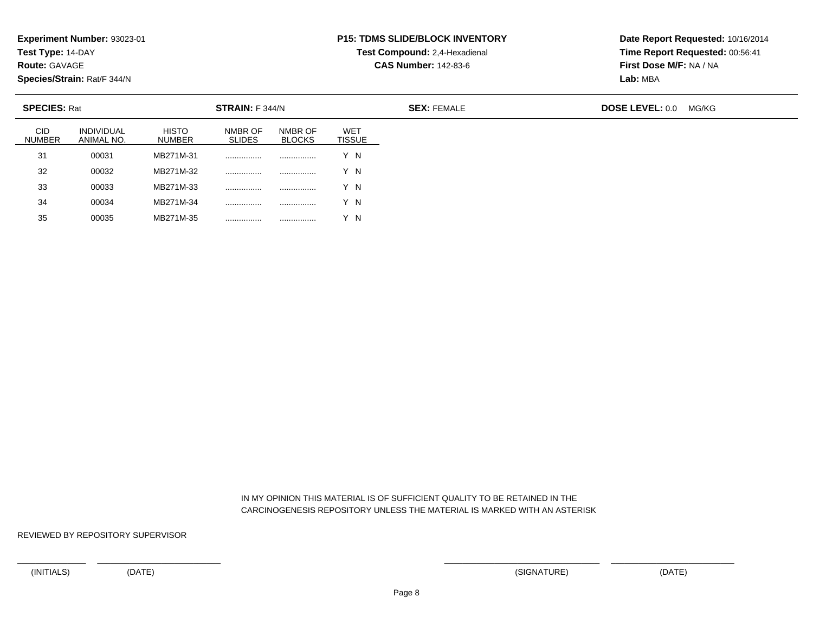**Test Type:** 14-DAY

**Route:** GAVAGE

35

**Species/Strain:** Rat/F 344/N

<sup>00035</sup> MB271M-35 ................ ................ Y N

#### **P15: TDMS SLIDE/BLOCK INVENTORYTest Compound:** 2,4-Hexadienal

**CAS Number:** 142-83-6

**Date Report Requested:** 10/16/2014**Time Report Requested:** 00:56:41**First Dose M/F:** NA / NA**Lab:** MBA

| <b>SPECIES: Rat</b><br>STRAIN: F 344/N |                          |                               |                          |                          |                      | <b>SEX: FEMALE</b> | <b>DOSE LEVEL: 0.0</b> | MG/KG |
|----------------------------------------|--------------------------|-------------------------------|--------------------------|--------------------------|----------------------|--------------------|------------------------|-------|
| <b>CID</b><br><b>NUMBER</b>            | INDIVIDUAL<br>ANIMAL NO. | <b>HISTO</b><br><b>NUMBER</b> | NMBR OF<br><b>SLIDES</b> | NMBR OF<br><b>BLOCKS</b> | WET<br><b>TISSUE</b> |                    |                        |       |
| 31                                     | 00031                    | MB271M-31                     |                          |                          | Y N                  |                    |                        |       |
| 32                                     | 00032                    | MB271M-32                     |                          |                          | Y N                  |                    |                        |       |
| 33                                     | 00033                    | MB271M-33                     |                          |                          | Y N                  |                    |                        |       |
| 34                                     | 00034                    | MB271M-34                     | .                        |                          | Y N                  |                    |                        |       |

 IN MY OPINION THIS MATERIAL IS OF SUFFICIENT QUALITY TO BE RETAINED IN THECARCINOGENESIS REPOSITORY UNLESS THE MATERIAL IS MARKED WITH AN ASTERISK

REVIEWED BY REPOSITORY SUPERVISOR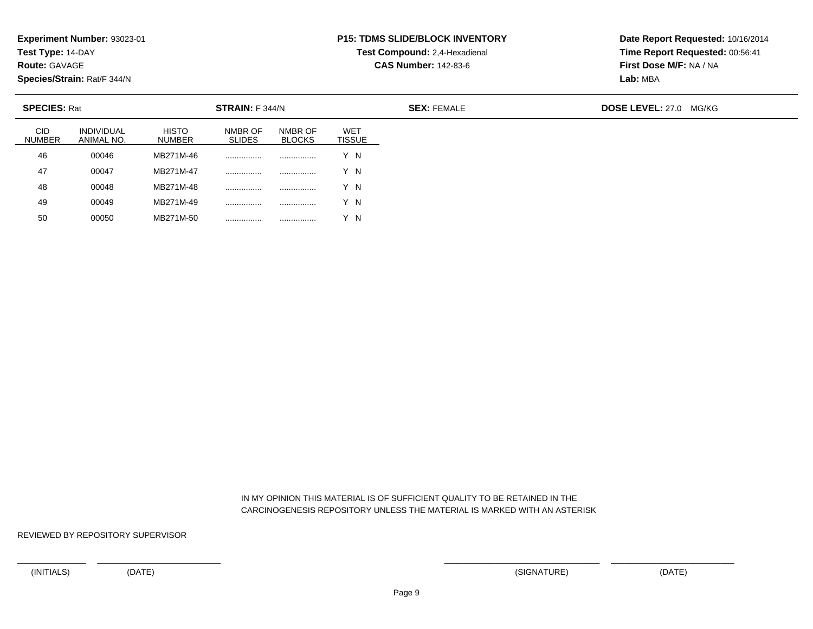**Test Type:** 14-DAY

**Route:** GAVAGE

50

**Species/Strain:** Rat/F 344/N

<sup>00050</sup> MB271M-50 ................ ................ Y N

#### **P15: TDMS SLIDE/BLOCK INVENTORYTest Compound:** 2,4-Hexadienal

**CAS Number:** 142-83-6

**Date Report Requested:** 10/16/2014**Time Report Requested:** 00:56:41**First Dose M/F:** NA / NA**Lab:** MBA

| <b>SPECIES: Rat</b>         |                          |                               | STRAIN: F 344/N          |                          |                      | <b>SEX: FEMALE</b> | <b>DOSE LEVEL: 27.0 MG/KG</b> |  |  |
|-----------------------------|--------------------------|-------------------------------|--------------------------|--------------------------|----------------------|--------------------|-------------------------------|--|--|
| <b>CID</b><br><b>NUMBER</b> | INDIVIDUAL<br>ANIMAL NO. | <b>HISTO</b><br><b>NUMBER</b> | NMBR OF<br><b>SLIDES</b> | NMBR OF<br><b>BLOCKS</b> | WET<br><b>TISSUE</b> |                    |                               |  |  |
| 46                          | 00046                    | MB271M-46                     | .                        |                          | Y N                  |                    |                               |  |  |
| 47                          | 00047                    | MB271M-47                     | .                        |                          | Y N                  |                    |                               |  |  |
| 48                          | 00048                    | MB271M-48                     | .                        |                          | Y N                  |                    |                               |  |  |
| 49                          | 00049                    | MB271M-49                     | .                        |                          | Y N                  |                    |                               |  |  |

 IN MY OPINION THIS MATERIAL IS OF SUFFICIENT QUALITY TO BE RETAINED IN THECARCINOGENESIS REPOSITORY UNLESS THE MATERIAL IS MARKED WITH AN ASTERISK

REVIEWED BY REPOSITORY SUPERVISOR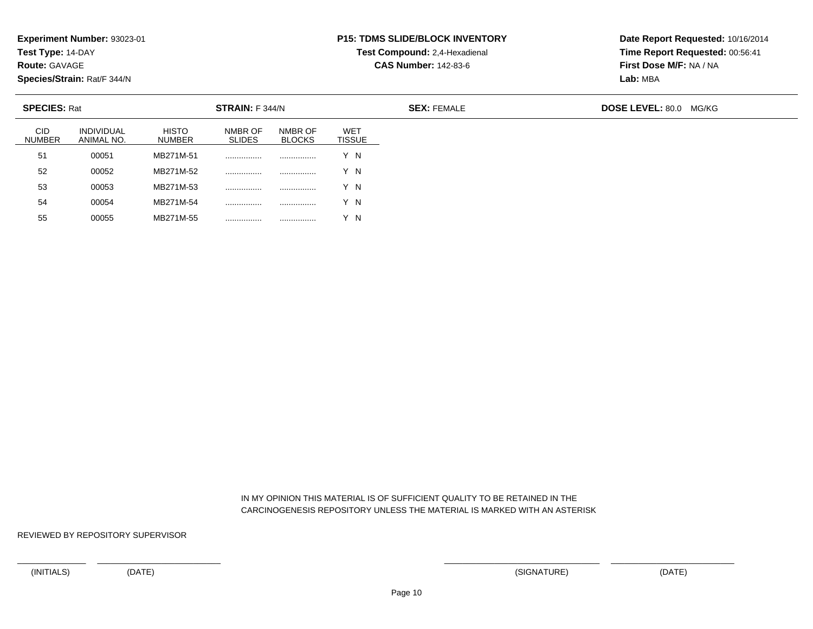**Test Type:** 14-DAY

**Route:** GAVAGE

**Species/Strain:** Rat/F 344/N

#### **P15: TDMS SLIDE/BLOCK INVENTORYTest Compound:** 2,4-Hexadienal

**CAS Number:** 142-83-6

**Date Report Requested:** 10/16/2014**Time Report Requested:** 00:56:41**First Dose M/F:** NA / NA**Lab:** MBA

| <b>SPECIES: Rat</b>         |                                 | STRAIN: F 344/N               |                          |                          |                             | <b>SEX: FEMALE</b> | <b>DOSE LEVEL: 80.0</b><br>MG/KG |
|-----------------------------|---------------------------------|-------------------------------|--------------------------|--------------------------|-----------------------------|--------------------|----------------------------------|
| <b>CID</b><br><b>NUMBER</b> | <b>INDIVIDUAL</b><br>ANIMAL NO. | <b>HISTO</b><br><b>NUMBER</b> | NMBR OF<br><b>SLIDES</b> | NMBR OF<br><b>BLOCKS</b> | <b>WET</b><br><b>TISSUE</b> |                    |                                  |
| 51                          | 00051                           | MB271M-51                     |                          |                          | Y N                         |                    |                                  |
| 52                          | 00052                           | MB271M-52                     |                          |                          | Y N                         |                    |                                  |
| 53                          | 00053                           | MB271M-53                     |                          |                          | Y N                         |                    |                                  |
| 54                          | 00054                           | MB271M-54                     |                          |                          | Y N                         |                    |                                  |
| 55                          | 00055                           | MB271M-55                     |                          |                          | Y N                         |                    |                                  |

 IN MY OPINION THIS MATERIAL IS OF SUFFICIENT QUALITY TO BE RETAINED IN THECARCINOGENESIS REPOSITORY UNLESS THE MATERIAL IS MARKED WITH AN ASTERISK

REVIEWED BY REPOSITORY SUPERVISOR

<sup>00055</sup> MB271M-55 ................ ................ Y N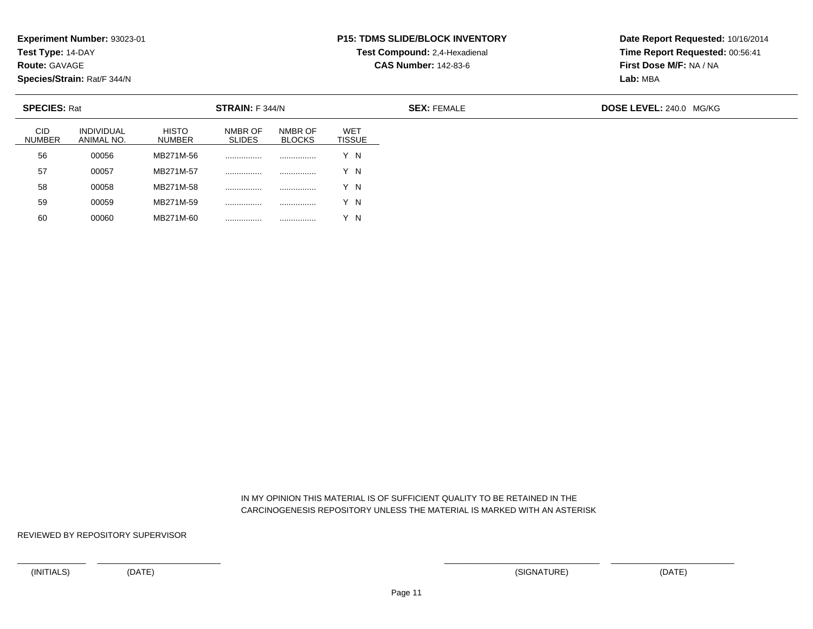**Test Type:** 14-DAY

**Route:** GAVAGE

**Species/Strain:** Rat/F 344/N

<sup>00060</sup> MB271M-60 ................ ................ Y N

#### **P15: TDMS SLIDE/BLOCK INVENTORYTest Compound:** 2,4-Hexadienal

**CAS Number:** 142-83-6

**Date Report Requested:** 10/16/2014**Time Report Requested:** 00:56:41**First Dose M/F:** NA / NA**Lab:** MBA

| <b>SPECIES: Rat</b>         |                          |                               | <b>STRAIN:</b> F 344/N   |                          |                      | <b>SEX: FEMALE</b> | DOSE LEVEL: 240.0 MG/KG |  |  |
|-----------------------------|--------------------------|-------------------------------|--------------------------|--------------------------|----------------------|--------------------|-------------------------|--|--|
| <b>CID</b><br><b>NUMBER</b> | INDIVIDUAL<br>ANIMAL NO. | <b>HISTO</b><br><b>NUMBER</b> | NMBR OF<br><b>SLIDES</b> | NMBR OF<br><b>BLOCKS</b> | WET<br><b>TISSUE</b> |                    |                         |  |  |
| 56                          | 00056                    | MB271M-56                     |                          | .                        | Y N                  |                    |                         |  |  |
| 57                          | 00057                    | MB271M-57                     |                          |                          | Y N                  |                    |                         |  |  |
| 58                          | 00058                    | MB271M-58                     |                          |                          | Y N                  |                    |                         |  |  |
| 59                          | 00059                    | MB271M-59                     |                          |                          | Y N                  |                    |                         |  |  |
| 60                          | 00060                    | MB271M-60                     |                          |                          | Y N                  |                    |                         |  |  |

 IN MY OPINION THIS MATERIAL IS OF SUFFICIENT QUALITY TO BE RETAINED IN THECARCINOGENESIS REPOSITORY UNLESS THE MATERIAL IS MARKED WITH AN ASTERISK

REVIEWED BY REPOSITORY SUPERVISOR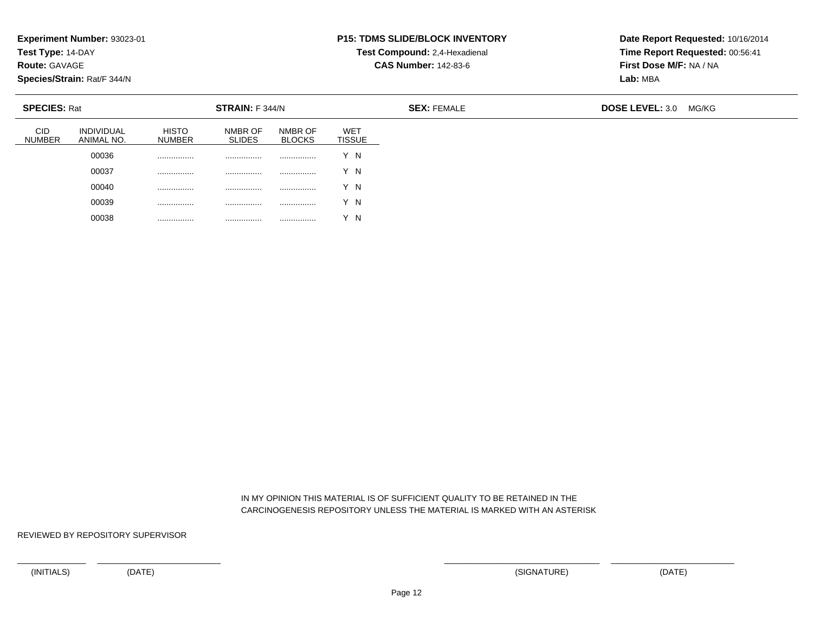**Test Type:** 14-DAY

**Route:** GAVAGE

**Species/Strain:** Rat/F 344/N

00038

................ ................ ................ Y N

### **P15: TDMS SLIDE/BLOCK INVENTORY**

**Test Compound:** 2,4-Hexadienal **CAS Number:** 142-83-6

**Date Report Requested:** 10/16/2014**Time Report Requested:** 00:56:41**First Dose M/F:** NA / NA**Lab:** MBA

| <b>SPECIES: Rat</b>         |                                 |                               | <b>STRAIN:</b> F 344/N   |                          |                             | <b>SEX: FEMALE</b> | <b>DOSE LEVEL: 3.0</b> | MG/KG |
|-----------------------------|---------------------------------|-------------------------------|--------------------------|--------------------------|-----------------------------|--------------------|------------------------|-------|
| <b>CID</b><br><b>NUMBER</b> | <b>INDIVIDUAL</b><br>ANIMAL NO. | <b>HISTO</b><br><b>NUMBER</b> | NMBR OF<br><b>SLIDES</b> | NMBR OF<br><b>BLOCKS</b> | <b>WET</b><br><b>TISSUE</b> |                    |                        |       |
|                             | 00036                           | .                             | .                        |                          | Y N                         |                    |                        |       |
|                             | 00037                           | .                             | .                        | .                        | Y N                         |                    |                        |       |
|                             | 00040                           |                               | .                        |                          | Y N                         |                    |                        |       |
|                             | 00039                           | .                             | .                        |                          | Y N                         |                    |                        |       |

 IN MY OPINION THIS MATERIAL IS OF SUFFICIENT QUALITY TO BE RETAINED IN THECARCINOGENESIS REPOSITORY UNLESS THE MATERIAL IS MARKED WITH AN ASTERISK

REVIEWED BY REPOSITORY SUPERVISOR